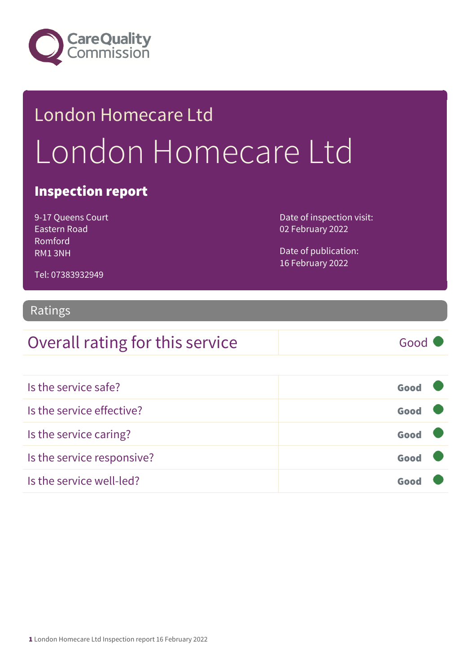

# London Homecare Ltd London Homecare Ltd

### Inspection report

9-17 Queens Court Eastern Road Romford RM1 3NH

Date of inspection visit: 02 February 2022

Date of publication: 16 February 2022

Tel: 07383932949

#### Ratings

### Overall rating for this service Good

| Is the service safe?       | Good |  |
|----------------------------|------|--|
| Is the service effective?  | Good |  |
| Is the service caring?     | Good |  |
| Is the service responsive? | Good |  |
| Is the service well-led?   | Goo  |  |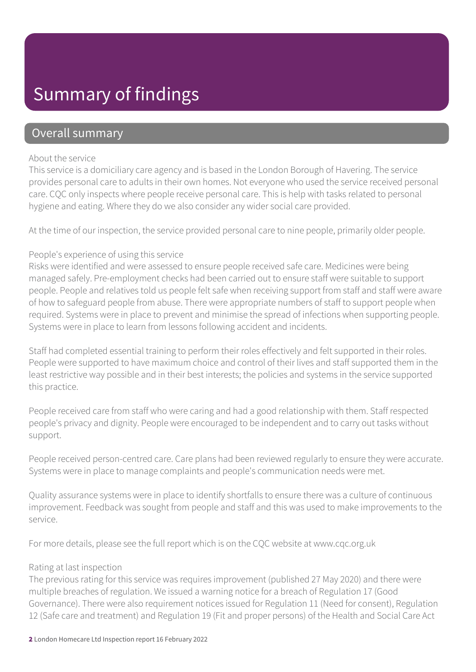### Summary of findings

### Overall summary

#### About the service

This service is a domiciliary care agency and is based in the London Borough of Havering. The service provides personal care to adults in their own homes. Not everyone who used the service received personal care. CQC only inspects where people receive personal care. This is help with tasks related to personal hygiene and eating. Where they do we also consider any wider social care provided.

At the time of our inspection, the service provided personal care to nine people, primarily older people.

#### People's experience of using this service

Risks were identified and were assessed to ensure people received safe care. Medicines were being managed safely. Pre-employment checks had been carried out to ensure staff were suitable to support people. People and relatives told us people felt safe when receiving support from staff and staff were aware of how to safeguard people from abuse. There were appropriate numbers of staff to support people when required. Systems were in place to prevent and minimise the spread of infections when supporting people. Systems were in place to learn from lessons following accident and incidents.

Staff had completed essential training to perform their roles effectively and felt supported in their roles. People were supported to have maximum choice and control of their lives and staff supported them in the least restrictive way possible and in their best interests; the policies and systems in the service supported this practice.

People received care from staff who were caring and had a good relationship with them. Staff respected people's privacy and dignity. People were encouraged to be independent and to carry out tasks without support.

People received person-centred care. Care plans had been reviewed regularly to ensure they were accurate. Systems were in place to manage complaints and people's communication needs were met.

Quality assurance systems were in place to identify shortfalls to ensure there was a culture of continuous improvement. Feedback was sought from people and staff and this was used to make improvements to the service.

For more details, please see the full report which is on the CQC website at www.cqc.org.uk

#### Rating at last inspection

The previous rating for this service was requires improvement (published 27 May 2020) and there were multiple breaches of regulation. We issued a warning notice for a breach of Regulation 17 (Good Governance). There were also requirement notices issued for Regulation 11 (Need for consent), Regulation 12 (Safe care and treatment) and Regulation 19 (Fit and proper persons) of the Health and Social Care Act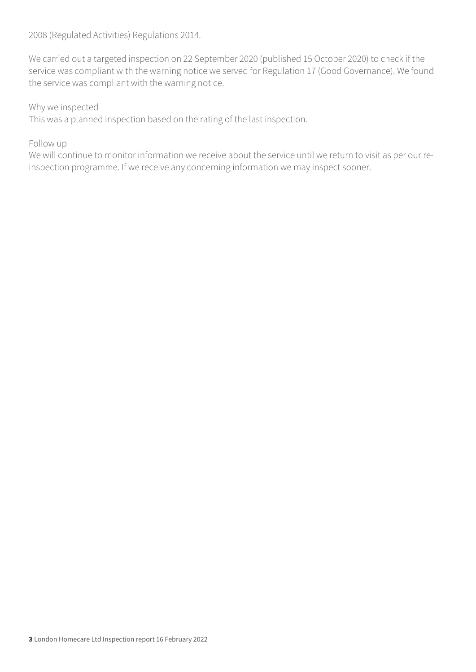2008 (Regulated Activities) Regulations 2014.

We carried out a targeted inspection on 22 September 2020 (published 15 October 2020) to check if the service was compliant with the warning notice we served for Regulation 17 (Good Governance). We found the service was compliant with the warning notice.

#### Why we inspected

This was a planned inspection based on the rating of the last inspection.

#### Follow up

We will continue to monitor information we receive about the service until we return to visit as per our reinspection programme. If we receive any concerning information we may inspect sooner.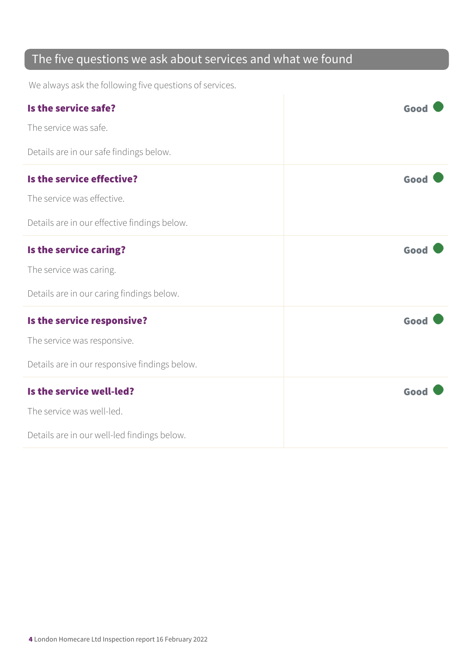### The five questions we ask about services and what we found

We always ask the following five questions of services.

| Is the service safe?                          | Good |
|-----------------------------------------------|------|
| The service was safe.                         |      |
| Details are in our safe findings below.       |      |
| Is the service effective?                     | Good |
| The service was effective.                    |      |
| Details are in our effective findings below.  |      |
| Is the service caring?                        | Good |
| The service was caring.                       |      |
| Details are in our caring findings below.     |      |
| Is the service responsive?                    | Good |
| The service was responsive.                   |      |
| Details are in our responsive findings below. |      |
| Is the service well-led?                      | Good |
| The service was well-led.                     |      |
| Details are in our well-led findings below.   |      |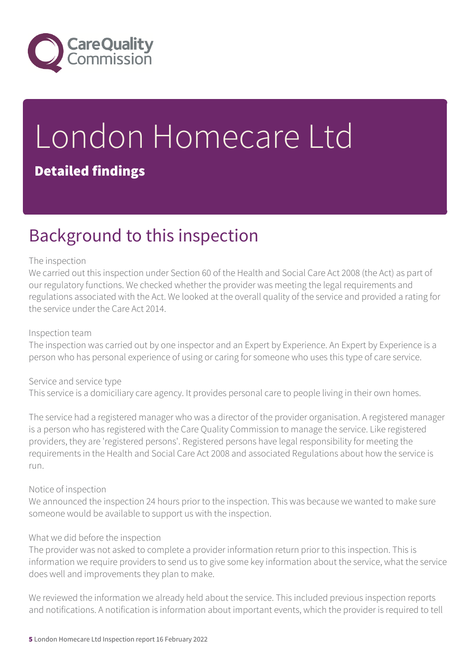

# London Homecare Ltd Detailed findings

### Background to this inspection

#### The inspection

We carried out this inspection under Section 60 of the Health and Social Care Act 2008 (the Act) as part of our regulatory functions. We checked whether the provider was meeting the legal requirements and regulations associated with the Act. We looked at the overall quality of the service and provided a rating for the service under the Care Act 2014.

#### Inspection team

The inspection was carried out by one inspector and an Expert by Experience. An Expert by Experience is a person who has personal experience of using or caring for someone who uses this type of care service.

#### Service and service type

This service is a domiciliary care agency. It provides personal care to people living in their own homes.

The service had a registered manager who was a director of the provider organisation. A registered manager is a person who has registered with the Care Quality Commission to manage the service. Like registered providers, they are 'registered persons'. Registered persons have legal responsibility for meeting the requirements in the Health and Social Care Act 2008 and associated Regulations about how the service is run.

#### Notice of inspection

We announced the inspection 24 hours prior to the inspection. This was because we wanted to make sure someone would be available to support us with the inspection.

#### What we did before the inspection

The provider was not asked to complete a provider information return prior to this inspection. This is information we require providers to send us to give some key information about the service, what the service does well and improvements they plan to make.

We reviewed the information we already held about the service. This included previous inspection reports and notifications. A notification is information about important events, which the provider is required to tell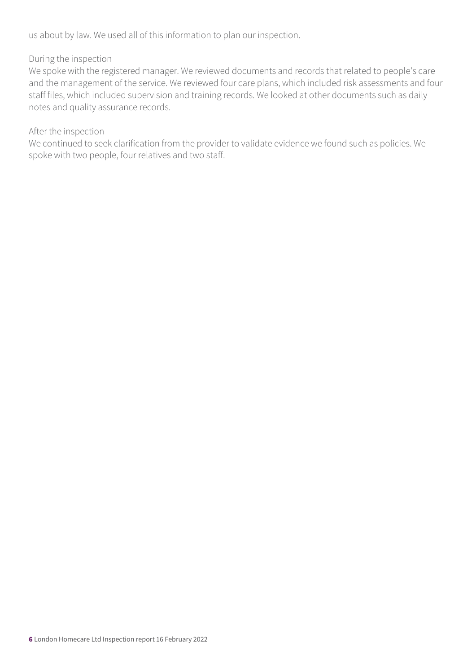us about by law. We used all of this information to plan our inspection.

#### During the inspection

We spoke with the registered manager. We reviewed documents and records that related to people's care and the management of the service. We reviewed four care plans, which included risk assessments and four staff files, which included supervision and training records. We looked at other documents such as daily notes and quality assurance records.

#### After the inspection

We continued to seek clarification from the provider to validate evidence we found such as policies. We spoke with two people, four relatives and two staff.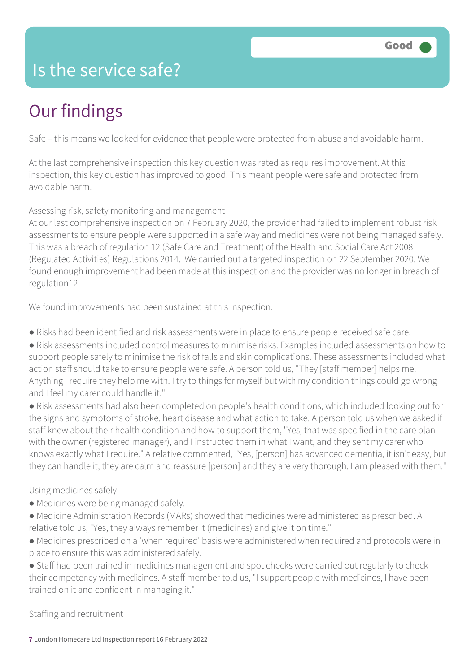### Is the service safe?

## Our findings

Safe – this means we looked for evidence that people were protected from abuse and avoidable harm.

At the last comprehensive inspection this key question was rated as requires improvement. At this inspection, this key question has improved to good. This meant people were safe and protected from avoidable harm.

Assessing risk, safety monitoring and management

At our last comprehensive inspection on 7 February 2020, the provider had failed to implement robust risk assessments to ensure people were supported in a safe way and medicines were not being managed safely. This was a breach of regulation 12 (Safe Care and Treatment) of the Health and Social Care Act 2008 (Regulated Activities) Regulations 2014. We carried out a targeted inspection on 22 September 2020. We found enough improvement had been made at this inspection and the provider was no longer in breach of regulation12.

We found improvements had been sustained at this inspection.

- Risks had been identified and risk assessments were in place to ensure people received safe care.
- Risk assessments included control measures to minimise risks. Examples included assessments on how to support people safely to minimise the risk of falls and skin complications. These assessments included what action staff should take to ensure people were safe. A person told us, "They [staff member] helps me. Anything I require they help me with. I try to things for myself but with my condition things could go wrong and I feel my carer could handle it."

● Risk assessments had also been completed on people's health conditions, which included looking out for the signs and symptoms of stroke, heart disease and what action to take. A person told us when we asked if staff knew about their health condition and how to support them, "Yes, that was specified in the care plan with the owner (registered manager), and I instructed them in what I want, and they sent my carer who knows exactly what I require." A relative commented, "Yes, [person] has advanced dementia, it isn't easy, but they can handle it, they are calm and reassure [person] and they are very thorough. I am pleased with them."

#### Using medicines safely

- Medicines were being managed safely.
- Medicine Administration Records (MARs) showed that medicines were administered as prescribed. A relative told us, "Yes, they always remember it (medicines) and give it on time."
- Medicines prescribed on a 'when required' basis were administered when required and protocols were in place to ensure this was administered safely.
- Staff had been trained in medicines management and spot checks were carried out regularly to check their competency with medicines. A staff member told us, "I support people with medicines, I have been trained on it and confident in managing it."

Staffing and recruitment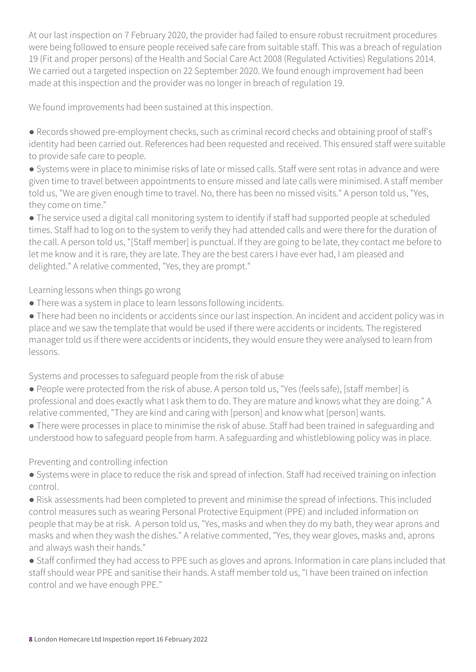At our last inspection on 7 February 2020, the provider had failed to ensure robust recruitment procedures were being followed to ensure people received safe care from suitable staff. This was a breach of regulation 19 (Fit and proper persons) of the Health and Social Care Act 2008 (Regulated Activities) Regulations 2014. We carried out a targeted inspection on 22 September 2020. We found enough improvement had been made at this inspection and the provider was no longer in breach of regulation 19.

We found improvements had been sustained at this inspection.

● Records showed pre-employment checks, such as criminal record checks and obtaining proof of staff's identity had been carried out. References had been requested and received. This ensured staff were suitable to provide safe care to people.

● Systems were in place to minimise risks of late or missed calls. Staff were sent rotas in advance and were given time to travel between appointments to ensure missed and late calls were minimised. A staff member told us, "We are given enough time to travel. No, there has been no missed visits." A person told us, "Yes, they come on time."

● The service used a digital call monitoring system to identify if staff had supported people at scheduled times. Staff had to log on to the system to verify they had attended calls and were there for the duration of the call. A person told us, "[Staff member] is punctual. If they are going to be late, they contact me before to let me know and it is rare, they are late. They are the best carers I have ever had, I am pleased and delighted." A relative commented, "Yes, they are prompt."

Learning lessons when things go wrong

● There was a system in place to learn lessons following incidents.

● There had been no incidents or accidents since our last inspection. An incident and accident policy was in place and we saw the template that would be used if there were accidents or incidents. The registered manager told us if there were accidents or incidents, they would ensure they were analysed to learn from lessons.

Systems and processes to safeguard people from the risk of abuse

- People were protected from the risk of abuse. A person told us, "Yes (feels safe), [staff member] is professional and does exactly what I ask them to do. They are mature and knows what they are doing." A relative commented, "They are kind and caring with [person] and know what [person] wants.
- There were processes in place to minimise the risk of abuse. Staff had been trained in safeguarding and understood how to safeguard people from harm. A safeguarding and whistleblowing policy was in place.

Preventing and controlling infection

● Systems were in place to reduce the risk and spread of infection. Staff had received training on infection control.

● Risk assessments had been completed to prevent and minimise the spread of infections. This included control measures such as wearing Personal Protective Equipment (PPE) and included information on people that may be at risk. A person told us, "Yes, masks and when they do my bath, they wear aprons and masks and when they wash the dishes." A relative commented, "Yes, they wear gloves, masks and, aprons and always wash their hands."

● Staff confirmed they had access to PPE such as gloves and aprons. Information in care plans included that staff should wear PPE and sanitise their hands. A staff member told us, "I have been trained on infection control and we have enough PPE."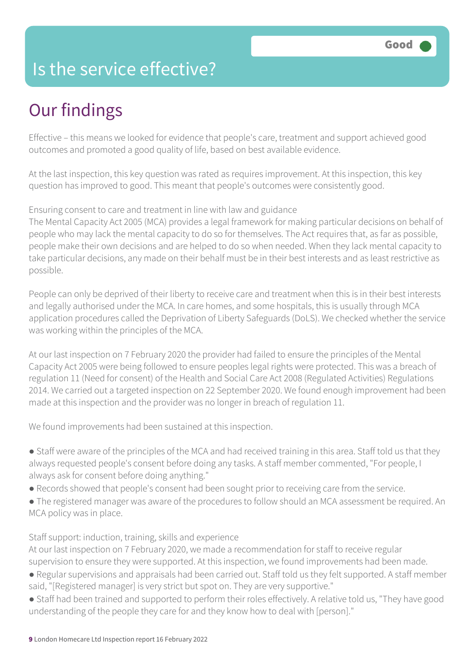### Is the service effective?

## Our findings

Effective – this means we looked for evidence that people's care, treatment and support achieved good outcomes and promoted a good quality of life, based on best available evidence.

At the last inspection, this key question was rated as requires improvement. At this inspection, this key question has improved to good. This meant that people's outcomes were consistently good.

#### Ensuring consent to care and treatment in line with law and guidance

The Mental Capacity Act 2005 (MCA) provides a legal framework for making particular decisions on behalf of people who may lack the mental capacity to do so for themselves. The Act requires that, as far as possible, people make their own decisions and are helped to do so when needed. When they lack mental capacity to take particular decisions, any made on their behalf must be in their best interests and as least restrictive as possible.

People can only be deprived of their liberty to receive care and treatment when this is in their best interests and legally authorised under the MCA. In care homes, and some hospitals, this is usually through MCA application procedures called the Deprivation of Liberty Safeguards (DoLS). We checked whether the service was working within the principles of the MCA.

At our last inspection on 7 February 2020 the provider had failed to ensure the principles of the Mental Capacity Act 2005 were being followed to ensure peoples legal rights were protected. This was a breach of regulation 11 (Need for consent) of the Health and Social Care Act 2008 (Regulated Activities) Regulations 2014. We carried out a targeted inspection on 22 September 2020. We found enough improvement had been made at this inspection and the provider was no longer in breach of regulation 11.

We found improvements had been sustained at this inspection.

● Staff were aware of the principles of the MCA and had received training in this area. Staff told us that they always requested people's consent before doing any tasks. A staff member commented, "For people, I always ask for consent before doing anything."

- Records showed that people's consent had been sought prior to receiving care from the service.
- The registered manager was aware of the procedures to follow should an MCA assessment be required. An MCA policy was in place.

#### Staff support: induction, training, skills and experience

At our last inspection on 7 February 2020, we made a recommendation for staff to receive regular supervision to ensure they were supported. At this inspection, we found improvements had been made.

- Regular supervisions and appraisals had been carried out. Staff told us they felt supported. A staff member said, "[Registered manager] is very strict but spot on. They are very supportive."
- Staff had been trained and supported to perform their roles effectively. A relative told us, "They have good understanding of the people they care for and they know how to deal with [person]."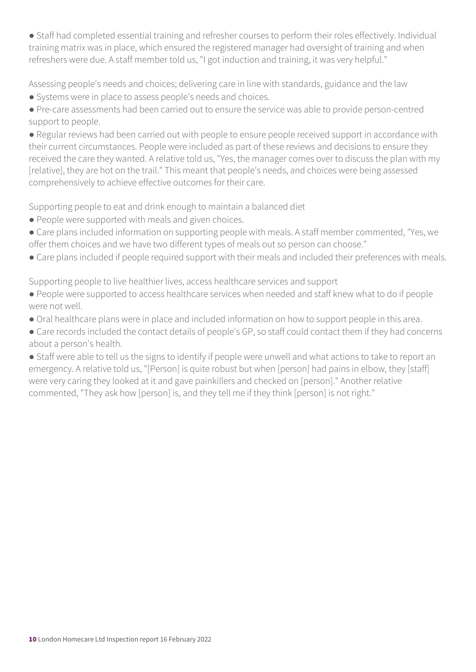● Staff had completed essential training and refresher courses to perform their roles effectively. Individual training matrix was in place, which ensured the registered manager had oversight of training and when refreshers were due. A staff member told us, "I got induction and training, it was very helpful."

Assessing people's needs and choices; delivering care in line with standards, guidance and the law

- Systems were in place to assess people's needs and choices.
- Pre-care assessments had been carried out to ensure the service was able to provide person-centred support to people.

● Regular reviews had been carried out with people to ensure people received support in accordance with their current circumstances. People were included as part of these reviews and decisions to ensure they received the care they wanted. A relative told us, "Yes, the manager comes over to discuss the plan with my [relative], they are hot on the trail." This meant that people's needs, and choices were being assessed comprehensively to achieve effective outcomes for their care.

Supporting people to eat and drink enough to maintain a balanced diet

- People were supported with meals and given choices.
- Care plans included information on supporting people with meals. A staff member commented, "Yes, we offer them choices and we have two different types of meals out so person can choose."
- Care plans included if people required support with their meals and included their preferences with meals.

Supporting people to live healthier lives, access healthcare services and support

- People were supported to access healthcare services when needed and staff knew what to do if people were not well.
- Oral healthcare plans were in place and included information on how to support people in this area.
- Care records included the contact details of people's GP, so staff could contact them if they had concerns about a person's health.
- Staff were able to tell us the signs to identify if people were unwell and what actions to take to report an emergency. A relative told us, "[Person] is quite robust but when [person] had pains in elbow, they [staff] were very caring they looked at it and gave painkillers and checked on [person]." Another relative commented, "They ask how [person] is, and they tell me if they think [person] is not right."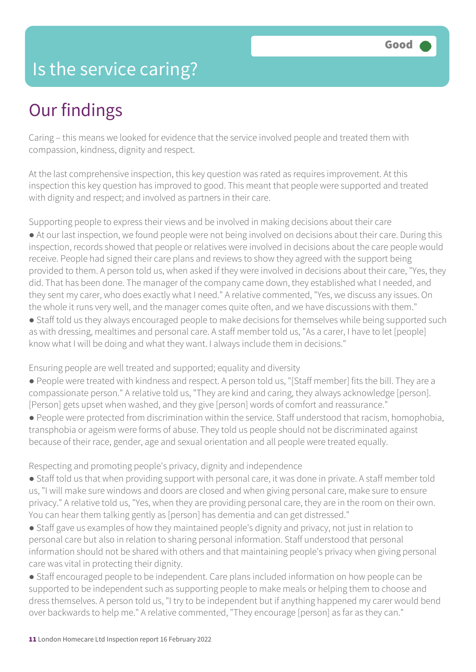### Is the service caring?

## Our findings

Caring – this means we looked for evidence that the service involved people and treated them with compassion, kindness, dignity and respect.

At the last comprehensive inspection, this key question was rated as requires improvement. At this inspection this key question has improved to good. This meant that people were supported and treated with dignity and respect; and involved as partners in their care.

Supporting people to express their views and be involved in making decisions about their care

● At our last inspection, we found people were not being involved on decisions about their care. During this inspection, records showed that people or relatives were involved in decisions about the care people would receive. People had signed their care plans and reviews to show they agreed with the support being provided to them. A person told us, when asked if they were involved in decisions about their care, "Yes, they did. That has been done. The manager of the company came down, they established what I needed, and they sent my carer, who does exactly what I need." A relative commented, "Yes, we discuss any issues. On the whole it runs very well, and the manager comes quite often, and we have discussions with them."

● Staff told us they always encouraged people to make decisions for themselves while being supported such as with dressing, mealtimes and personal care. A staff member told us, "As a carer, I have to let [people] know what I will be doing and what they want. I always include them in decisions."

Ensuring people are well treated and supported; equality and diversity

● People were treated with kindness and respect. A person told us, "[Staff member] fits the bill. They are a compassionate person." A relative told us, "They are kind and caring, they always acknowledge [person]. [Person] gets upset when washed, and they give [person] words of comfort and reassurance."

● People were protected from discrimination within the service. Staff understood that racism, homophobia, transphobia or ageism were forms of abuse. They told us people should not be discriminated against because of their race, gender, age and sexual orientation and all people were treated equally.

Respecting and promoting people's privacy, dignity and independence

● Staff told us that when providing support with personal care, it was done in private. A staff member told us, "I will make sure windows and doors are closed and when giving personal care, make sure to ensure privacy." A relative told us, "Yes, when they are providing personal care, they are in the room on their own. You can hear them talking gently as [person] has dementia and can get distressed."

• Staff gave us examples of how they maintained people's dignity and privacy, not just in relation to personal care but also in relation to sharing personal information. Staff understood that personal information should not be shared with others and that maintaining people's privacy when giving personal care was vital in protecting their dignity.

● Staff encouraged people to be independent. Care plans included information on how people can be supported to be independent such as supporting people to make meals or helping them to choose and dress themselves. A person told us, "I try to be independent but if anything happened my carer would bend over backwards to help me." A relative commented, "They encourage [person] as far as they can."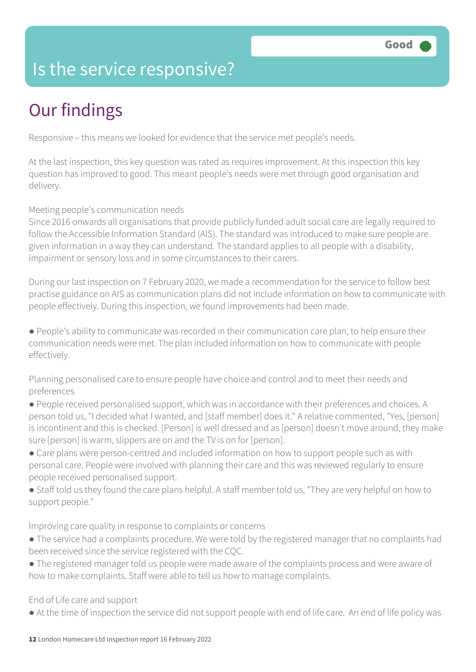### Is the service responsive?

## Our findings

Responsive – this means we looked for evidence that the service met people's needs.

At the last inspection, this key question was rated as requires improvement. At this inspection this key question has improved to good. This meant people's needs were met through good organisation and delivery.

Meeting people's communication needs

Since 2016 onwards all organisations that provide publicly funded adult social care are legally required to follow the Accessible Information Standard (AIS). The standard was introduced to make sure people are given information in a way they can understand. The standard applies to all people with a disability, impairment or sensory loss and in some circumstances to their carers.

During our last inspection on 7 February 2020, we made a recommendation for the service to follow best practise guidance on AIS as communication plans did not include information on how to communicate with people effectively. During this inspection, we found improvements had been made.

● People's ability to communicate was recorded in their communication care plan, to help ensure their communication needs were met. The plan included information on how to communicate with people effectively.

Planning personalised care to ensure people have choice and control and to meet their needs and preferences

- People received personalised support, which was in accordance with their preferences and choices. A person told us, "I decided what I wanted, and [staff member] does it." A relative commented, "Yes, [person] is incontinent and this is checked. [Person] is well dressed and as [person] doesn't move around, they make sure [person] is warm, slippers are on and the TV is on for [person].
- Care plans were person-centred and included information on how to support people such as with personal care. People were involved with planning their care and this was reviewed regularly to ensure people received personalised support.
- Staff told us they found the care plans helpful. A staff member told us, "They are very helpful on how to support people."

Improving care quality in response to complaints or concerns

- The service had a complaints procedure. We were told by the registered manager that no complaints had been received since the service registered with the CQC.
- The registered manager told us people were made aware of the complaints process and were aware of how to make complaints. Staff were able to tell us how to manage complaints.

End of Life care and support

● At the time of inspection the service did not support people with end of life care. An end of life policy was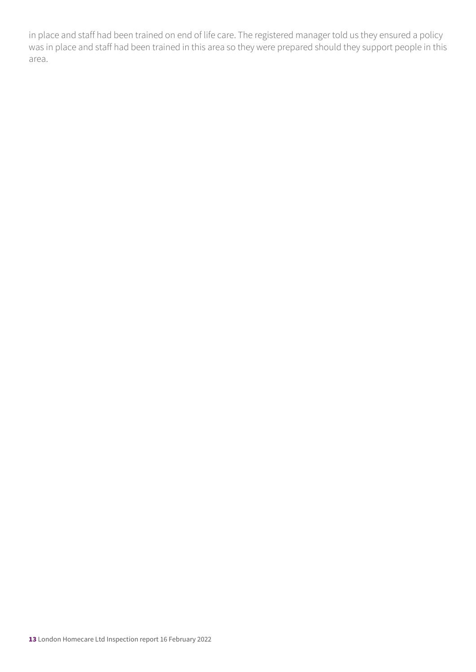in place and staff had been trained on end of life care. The registered manager told us they ensured a policy was in place and staff had been trained in this area so they were prepared should they support people in this area.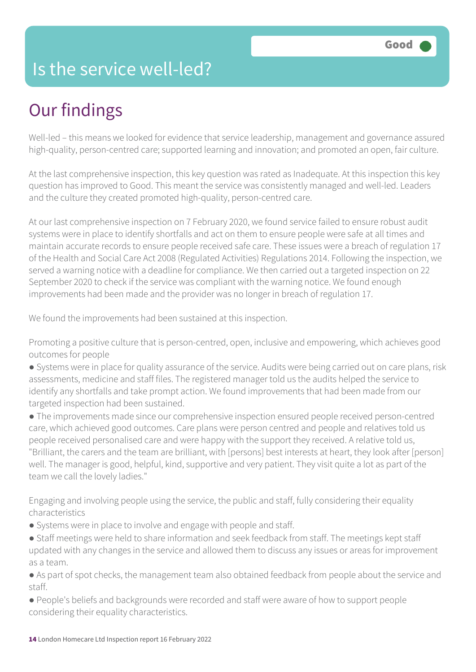### Is the service well-led?

## Our findings

Well-led – this means we looked for evidence that service leadership, management and governance assured high-quality, person-centred care; supported learning and innovation; and promoted an open, fair culture.

At the last comprehensive inspection, this key question was rated as Inadequate. At this inspection this key question has improved to Good. This meant the service was consistently managed and well-led. Leaders and the culture they created promoted high-quality, person-centred care.

At our last comprehensive inspection on 7 February 2020, we found service failed to ensure robust audit systems were in place to identify shortfalls and act on them to ensure people were safe at all times and maintain accurate records to ensure people received safe care. These issues were a breach of regulation 17 of the Health and Social Care Act 2008 (Regulated Activities) Regulations 2014. Following the inspection, we served a warning notice with a deadline for compliance. We then carried out a targeted inspection on 22 September 2020 to check if the service was compliant with the warning notice. We found enough improvements had been made and the provider was no longer in breach of regulation 17.

We found the improvements had been sustained at this inspection.

Promoting a positive culture that is person-centred, open, inclusive and empowering, which achieves good outcomes for people

● Systems were in place for quality assurance of the service. Audits were being carried out on care plans, risk assessments, medicine and staff files. The registered manager told us the audits helped the service to identify any shortfalls and take prompt action. We found improvements that had been made from our targeted inspection had been sustained.

● The improvements made since our comprehensive inspection ensured people received person-centred care, which achieved good outcomes. Care plans were person centred and people and relatives told us people received personalised care and were happy with the support they received. A relative told us, "Brilliant, the carers and the team are brilliant, with [persons] best interests at heart, they look after [person] well. The manager is good, helpful, kind, supportive and very patient. They visit quite a lot as part of the team we call the lovely ladies."

Engaging and involving people using the service, the public and staff, fully considering their equality characteristics

- Systems were in place to involve and engage with people and staff.
- Staff meetings were held to share information and seek feedback from staff. The meetings kept staff updated with any changes in the service and allowed them to discuss any issues or areas for improvement as a team.

● As part of spot checks, the management team also obtained feedback from people about the service and staff.

● People's beliefs and backgrounds were recorded and staff were aware of how to support people considering their equality characteristics.